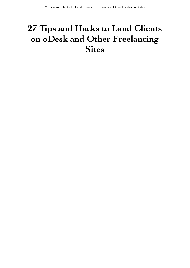# **27 Tips and Hacks to Land Clients on oDesk and Other Freelancing Sites**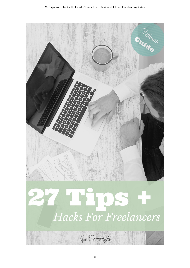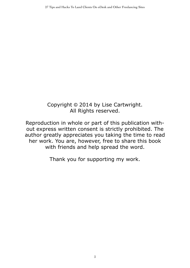## Copyright © 2014 by Lise Cartwright. All Rights reserved.

Reproduction in whole or part of this publication without express written consent is strictly prohibited. The author greatly appreciates you taking the time to read her work. You are, however, free to share this book with friends and help spread the word.

Thank you for supporting my work.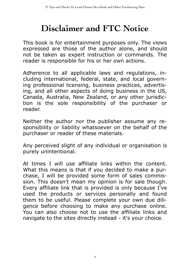## **Disclaimer and FTC Notice**

This book is for entertainment purposes only. The views expressed are those of the author alone, and should not be taken as expert instruction or commands. The reader is responsible for his or her own actions.

Adherence to all applicable laws and regulations, including international, federal, state, and local governing professional licensing, business practices, advertising, and all other aspects of doing business in the US, Canada, Australia, New Zealand, or any other jurisdiction is the sole responsibility of the purchaser or reader.

Neither the author nor the publisher assume any responsibility or liability whatsoever on the behalf of the purchaser or reader of these materials.

Any perceived slight of any individual or organisation is purely unintentional.

At times I will use affiliate links within the content. What this means is that if you decided to make a purchase, I will be provided some form of sales commission. This doesn't mean my opinion is for sale though. Every affiliate link that is provided is only because I've used the products or services personally and found them to be useful. Please complete your own due diligence before choosing to make any purchase online. You can also choose not to use the affiliate links and navigate to the sites directly instead - it's your choice.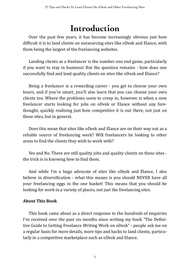## **Introduction**

Over the past few vears, it has become increasingly obvious just how difficult it is to land clients on outsourcing sites like oDesk and Elance, with them being the largest of the freelancing websites.

Landing clients as a freelancer is the number one end game, particularly if you want to stay in business! But the question remains - how does one successfully find and land quality clients on sites like oDesk and Elance?

Being a freelancer is a rewarding career - you get to choose your own hours, and if you're smart, you'll also learn that you can choose your own clients too. Where the problems seem to creep in, however, is when a new freelancer starts looking for jobs on oDesk or Elance without any forethought, quickly realising just how competitive it is out there, not just on these sites, but in general.

Does this mean that sites like oDesk and Elance are on their way out as a reliable source of freelancing work? Will freelancers be looking to other areas to find the clients they wish to work with?

Yes and No. There are still quality jobs and quality clients on these sites the trick is in knowing how to find them.

And while I'm a huge advocate of sites like oDesk and Elance, I also believe in diversification - what this means is you should NEVER have all your freelancing eggs in the one basket! This means that you should be looking for work in a variety of places, not just the freelancing sites.

## **About&This&Book**

This book came about as a direct response to the hundreds of enquiries I've received over the past six months since writing my book "The Definitive Guide to Getting Freelance Writing Work on oDesk" - people ask me on a regular basis for more details, more tips and hacks to land clients, particularly in a competitive marketplace such as oDesk and Elance.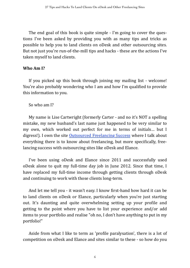The end goal of this book is quite simple - I'm going to cover the questions I've been asked by providing you with as many tips and tricks as possible to help you to land clients on oDesk and other outsourcing sites. But not just you're run-of-the-mill tips and hacks - these are the actions I've taken myself to land clients.

#### **Who Am I?**

If you picked up this book through joining my mailing list - welcome! You're also probably wondering who I am and how I'm qualified to provide this information to you.

#### So who am  $I$ ?

My name is Lise Cartwright (formerly Carter - and no it's NOT a spelling mistake, my new husband's last name just happened to be very similar to my own, which worked out perfect for me in terms of initials... but I digress!). I own the site Outsourced Freelancing Success where I talk about everything there is to know about freelancing, but more specifically, freelancing success with outsourcing sites like oDesk and Elance.

I've been using oDesk and Elance since 2011 and successfully used oDesk alone to quit my full-time day job in June 2012. Since that time, I have replaced my full-time income through getting clients through oDesk and continuing to work with those clients long-term.

And let me tell you - it wasn't easy. I know first-hand how hard it can be to land clients on oDesk or Elance, particularly when you're just starting out. It's daunting and quite overwhelming setting up your profile and getting to the point where you have to list your experience and/or add items to your portfolio and realise "oh no, I don't have anything to put in my portfolio!"

Aside from what I like to term as 'profile paralysation', there is a lot of competition on oDesk and Elance and sites similar to these - so how do you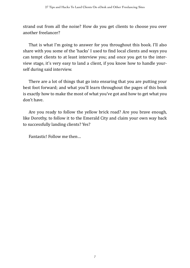strand out from all the noise? How do you get clients to choose you over another freelancer?

That is what I'm going to answer for you throughout this book. I'll also share with you some of the 'hacks' I used to find local clients and ways you can tempt clients to at least interview you; and once you get to the interview stage, it's very easy to land a client, if you know how to handle yourself during said interview.

There are a lot of things that go into ensuring that you are putting your best foot forward; and what you'll learn throughout the pages of this book is exactly how to make the most of what you've got and how to get what you don't have.

Are you ready to follow the yellow brick road? Are you brave enough, like Dorothy, to follow it to the Emerald City and claim your own way back to successfully landing clients? Yes?

Fantastic! Follow me then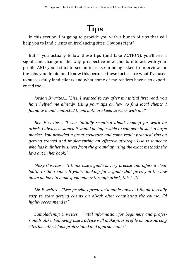# **Tips**

In this section, I'm going to provide you with a bunch of tips that will help you to land clients on freelancing sites. Obvious right?

But if you actually follow these tips (and take ACTION), you'll see a significant change in the way prospective new clients interact with your profile AND you'll start to see an increase in being asked to interview for the jobs you do bid on. I know this because these tactics are what I've used to successfully land clients and what some of my readers have also experi $enced$  too…

*Jordan B writes... "Lise, I wanted to say after my initial first read, you have helped me already. Using your tips on how to find local clients, I found two and contacted them, both are keen to work with me!"* 

*Ben F writes... "I was initially sceptical about looking for work on oDesk.'I'always'assumed'it'would'be'impossible'to'compete'in'such'a'large' market.'You'provided'a'great' structure'and' some' really'practical' tips' on' getting' started' and' implementing' an' effective' strategy.' Lise' is' someone'* who has built her business from the ground up using the exact methods she lays out in her book!"

*Missy C writes... "I think Lise's guide is very precise and offers a clear* 'path' to the reader. If you're looking for a guide that gives you the low down on how to make good money through oDesk, this is it!"

Liz F writes... "Lise provides great actionable advice. I found it really easy to start getting clients on oDesk after completing the course. I'd *highly'recommend'it."*

*Samolademiji O writes... "Vital information for beginners and professionals'alike.'Following'Lise's'advice'will'make'your'pro7ile'on'outsourcing' sites'like'oDesk'look'professional'and'approachable."*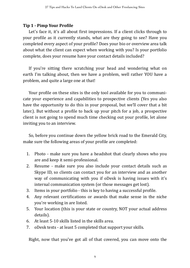### **Tip 1 - Pimp Your Profile**

Let's face it, it's all about first impressions. If a client clicks through to your profile as it currently stands, what are they going to see? Have you completed every aspect of your profile? Does your bio or overview area talk about what the client can expect when working with you? Is your portfolio complete, does your resume have your contact details included?

If you're sitting there scratching your head and wondering what on earth I'm talking about, then we have a problem, well rather YOU have a problem, and quite a large one at that!

Your profile on these sites is the only tool available for you to communicate your experience and capabilities to prospective clients (Yes you also have the opportunity to do this in your proposal, but we'll cover that a bit later.). But without a profile to back up your pitch for a job, a prospective client is not going to spend much time checking out your profile, let alone inviting you to an interview.

So, before you continue down the yellow brick road to the Emerald City, make sure the following areas of your profile are completed:

- 1. Photo make sure you have a headshot that clearly shows who you are and keep it semi-professional.
- 2. Resume make sure you also include your contact details such as Skype ID, so clients can contact you for an interview and as another way of communicating with you if oDesk is having issues with it's internal communication system (or those messages get lost).
- 3. Items in your portfolio this is key to having a successful profile.
- 4. Any relevant certifications or awards that make sense in the niche you're working in are listed.
- 5. Your location (this is your state or country, NOT your actual address details).
- 6. At least  $5-10$  skills listed in the skills area.
- 7. oDesk tests at least 5 completed that support your skills.

Right, now that you've got all of that covered, you can move onto the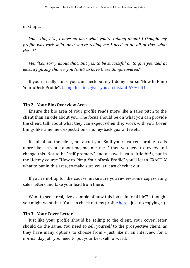next tip…

*You: "Um, Lise, I have no idea what you're talking about! I thought my profile was rock-solid, now you're telling me I need to do all of this, what the…?"'*

*Me: "Lol, sorry about that. But yes, to be successful or to give yourself at least a fighting chance, you NEED to have these things covered."* 

If you're really stuck, you can check out my Udemy course "How to Pimp" Your oDesk Profile". Using this link gives you an instant 67% off!

#### **Tip 2 - Your Bio/Overview Area**

Ensure the bio area of your profile reads more like a sales pitch to the client than an ode about you. The focus should be on what you can provide the client; talk about what they can expect when they work with you. Cover things like timelines, expectations, money-back guarantee etc.

It's all about the client, not about you. So if you're current profile reads more like "let's talk about me, me, me, me..." then you need to review and change this. Not to be "self-promoty" and all (well just a little bit!), but in the Udemy course "How to Pimp Your oDesk Profile" you'll learn EXACTLY what to put in this area, so make sure you at least check it out.

If you're not up for the course, make sure you review some copywriting sales letters and take your lead from there.

Want to see a real, live example of how this looks in 'real life'? I thought you might want that! You can check out my profile here  $\cdot$  just no copying :-)

#### **Tip 3 - Your Cover Letter**

Just like your profile should be selling to the client, your cover letter should do the same. You need to sell yourself to the prospective client, as they have many options to choose from  $-$  just like in an interview for a normal day job, you need to put your best self forward.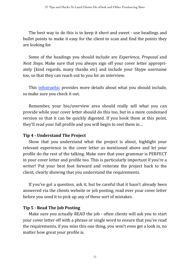The best way to do this is to keep it short and sweet - use headings and bullet points to make it easy for the client to scan and find the points they are looking for.

Some of the headings you should include are *Experience*, *Proposal* and *Next Steps*. Make sure that you always sign off your cover letter appropriately (kind regards, many thanks etc) and include your Skype username too, so that they can reach out to you for an interview.

This infographic provides more details about what you should include, so make sure you check it out.

Remember, your bio/overview area should really sell what you can provide while your cover letter should do this too, but in a more condensed version so that it can be quickly digested. If you hook them at this point, they'll read your full profile and you will begin to reel them in...

## **Tip 4 - Understand The Project**

Show that you understand what the project is about, highlight your relevant experience in the cover letter as mentioned above and let your profile do the rest of the talking. Make sure that your grammar is PERFECT in your cover letter and profile too. This is particularly important if you're a writer! Put your best foot forward and reiterate the project back to the client, clearly showing that you understand the requirements.

If you've got a question, ask it, but be careful that it hasn't already been answered via the clients website or job posting, read over your cover letter before you send it to pick up any of these sort of mistakes.

#### **Tip 5 - Read The Job Posting**

Make sure you actually READ the job - often clients will ask you to start your cover letter off with a phrase or single word to ensure that you've read the requirements, if you miss this one thing, you won't even get a look in, no matter how great your profile is.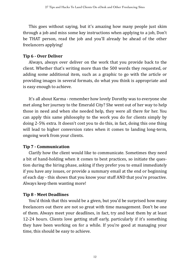This goes without saying, but it's amazing how many people just skim through a job and miss some key instructions when applying to a job, Don't be THAT person, read the job and you'll already be ahead of the other freelancers applying!

## **Tip 6 - Over Deliver**

Always, always over deliver on the work that you provide back to the client. Whether that's writing more than the 500 words they requested, or adding some additional item, such as a graphic to go with the article or providing images in several formats, do what you think is appropriate and is easy enough to achieve.

It's all about Karma - remember how lovely Dorothy was to everyone she met along her journey to the Emerald City? She went out of her way to help those in need and when she needed help, they were all there for her. You can apply this same philosophy to the work you do for clients simply by doing 2-5% extra. It doesn't cost you to do this, in fact, doing this one thing will lead to higher conversion rates when it comes to landing long-term, ongoing work from your clients.

## **Tip 7 - Communication**

Clarify how the client would like to communicate. Sometimes they need a bit of hand-holding when it comes to best practices, so initiate the question during the hiring phase, asking if they prefer you to email immediately if you have any issues, or provide a summary email at the end or beginning of each day - this shows that you know your stuff AND that you're proactive. Always keep them wanting more!

## **Tip 8 - Meet Deadlines**

You'd think that this would be a given, but you'd be surprised how many freelancers out there are not so great with time management. Don't be one of them. Always meet your deadlines, in fact, try and beat them by at least 12-24 hours. Clients love getting stuff early, particularly if it's something they have been working on for a while. If you're good at managing your time, this should be easy to achieve.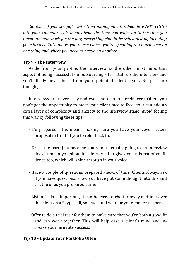Sidebar:% *If' you' struggle' with' time' management,' schedule' EVERYTHING' into' your' calendar.' This'means'from' the' time' you' wake' up' to' the' time' you' 7inish'up'your'work'for'the'day,'everything'should'be'scheduled'in,'including' your'breaks.'This'allows'you'to'see'where'you're'spending'too'much'time'on' one'thing'and'where'you'need'to'hustle'on'another.*

## **Tip 9 - The Interview**

Aside from your profile, the interview is the other most important aspect of being successful on outsourcing sites. Stuff up the interview and you'll likely never hear from your potential client again. No pressure though  $;-$ 

Interviews are never easy and even more so for freelancers. Often, you don't get the opportunity to meet your client face to face, so it can add an extra layer of complexity and anxiety to the interview stage. Avoid feeling this way by following these tips:

- Be prepared. This means making sure you have your cover letter/ proposal in front of you to refer back to.
- Dress the part. Just because you're not actually going to an interview doesn't mean you shouldn't dress well. It gives you a boost of confidence too, which will shine through in your voice.
- Have a couple of questions prepared ahead of time. Clients always ask if you have questions, show you have put some thought into this and ask the ones you prepared earlier.
- Listen. This is important, it can be easy to chatter away and talk over the client on a Skype call, so listen and wait for your chance to speak.
- Offer to do a trial task for them to make sure that you're both a good fit and can work together. This will help ease a client's mind and increase your hire rate success.

## **Tip 10 - Update Your Portfolio Often**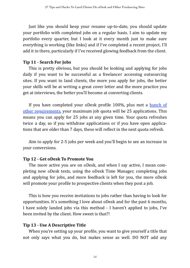Just like you should keep your resume up-to-date, you should update your portfolio with completed jobs on a regular basis. I aim to update my portfolio every quarter, but I look at it every month just to make sure everything is working (like links) and if I've completed a recent project, I'll add it in there, particularly if I've received glowing feedback from the client.

### **Tip 11 - Search For Jobs**

This is pretty obvious, but you should be looking and applying for jobs daily if you want to be successful as a freelancer accessing outsourcing sites. If you want to land clients, the more you apply for jobs, the better your skills will be at writing a great cover letter and the more practice you get at interviews, the better you'll become at converting clients.

If you have completed your oDesk profile 100%, plus met a bunch of other requirements[,](http://https://support.odesk.com/entries/23089721?flash_digest=4f97a2df01697e12f6dec775e86455422cd11a0c) your maximum job quota will be 25 applications. This means you can apply for 25 jobs at any given time. Your quota refreshes twice a day, so if you withdraw applications or if you have open applications that are older than 7 days, these will reflect in the next quota refresh.

Aim to apply for 2-5 jobs per week and you'll begin to see an increase in your conversions.

## **Tip 12 - Get oDesk To Promote You**

The more active you are on oDesk, and when I say active, I mean completing new oDesk tests, using the oDesk Time Manager, completing iobs and applying for jobs, and more feedback is left for you, the more oDesk will promote your profile to prospective clients when they post a job.

This is how you receive invitations to jobs rather than having to look for opportunities. It's something I love about oDesk and for the past 6 months, I have solely landed jobs via this method - I haven't applied to jobs, I've been invited by the client. How sweet is that?!

#### **Tip 13 - Use A Descriptive Title**

When you're setting up your profile, you want to give yourself a title that not only says what you do, but makes sense as well. DO NOT add any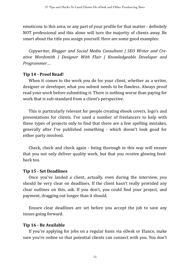emoticons to this area, or any part of your profile for that matter - definitely NOT professional and this alone will turn the majority of clients away. Be smart about the title you assign yourself. Here are some good examples:

*Copywriter, Blogger and Social Media Consultant | SEO Writer and Creative' Wordsmith' |' Designer' With' Flair' |' Knowledgeable' Developer' and' Programmer*…

### Tip 14 - Proof Read!

When it comes to the work you do for your client, whether as a writer, designer or developer, what you submit needs to be flawless. Always proof read your work before submitting it. There is nothing worse than paying for work that is sub-standard from a client's perspective.

This is particularly relevant for people creating ebook covers, logo's and presentations for clients. I've used a number of freelancers to help with these types of projects only to find that there are a few spelling mistakes, generally after I've published something - which doesn't look good for either party involved.

Check, check and check again - being thorough in this way will ensure that you not only deliver quality work, but that you receive glowing feedback too.

## **Tip 15 - Set Deadlines**

Once you've landed a client, actually, even during the interview, you should be very clear on deadlines. If the client hasn't really provided any clear outlines on this, ask. If you don't, you could find your project, and payment, dragging out longer than it should.

Ensure clear deadlines are set before you accept the job to save any issues going forward.

## **Tip 16 - Be Available**

If you're applying for jobs on a regular basis via oDesk or Elance, make sure you're online so that potential clients can connect with you. You don't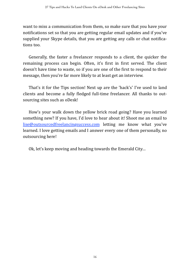want to miss a communication from them, so make sure that you have your notifications set so that you are getting regular email updates and if you've supplied your Skype details, that you are getting any calls or chat notifications too.

Generally, the faster a freelancer responds to a client, the quicker the remaining process can begin. Often, it's first in first served. The client doesn't have time to waste, so if you are one of the first to respond to their message, then you're far more likely to at least get an interview.

That's it for the Tips section! Next up are the 'hack's' I've used to land clients and become a fully fledged full-time freelancer. All thanks to outsourcing sites such as oDesk!

How's your walk down the yellow brick road going? Have you learned something new? If you have, I'd love to hear about it! Shoot me an email to lise@outsourcedfreelancingsuccess.com letting me know what you've learned. I love getting emails and I answer every one of them personally, no outsourcing here!

Ok, let's keep moving and heading towards the Emerald City...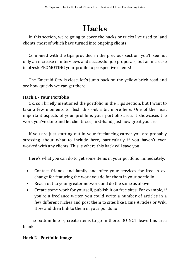# **Hacks**

In this section, we're going to cover the hacks or tricks I've used to land clients, most of which have turned into ongoing clients.

Combined with the tips provided in the previous section, you'll see not only an increase in interviews and successful job proposals, but an increase in oDesk PROMOTING your profile to prospective clients!

The Emerald City is close, let's jump back on the yellow brick road and see how quickly we can get there.

## **Hack 1 - Your Portfolio**

Ok, so I briefly mentioned the portfolio in the Tips section, but I want to take a few moments to flesh this out a bit more here. One of the most important aspects of your profile is your portfolio area, it showcases the work you've done and let clients see, first-hand, just how great you are.

If you are just starting out in your freelancing career you are probably stressing about what to include here, particularly if you haven't even worked with any clients. This is where this hack will save you.

Here's what you can do to get some items in your portfolio immediately:

- **•** Contact friends and family and offer your services for free in exchange for featuring the work you do for them in your portfolio
- Reach out to your greater network and do the same as above
- **•** Create some work for yourself, publish it on free sites. For example, if you're a freelance writer, you could write a number of articles in a few different niches and post them to sites like Ezine Articles or Wiki How and then link to them in your portfolio

The bottom line is, create items to go in there, DO NOT leave this area blank!%

## **Hack 2 - Portfolio Image**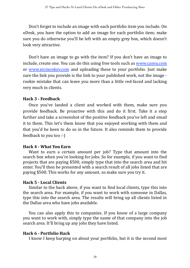Don't forget to include an image with each portfolio item you include. On oDesk, you have the option to add an image for each portfolio item; make sure you do otherwise you'll be left with an empty grey box, which doesn't look very attractive.

Don't have an image to go with the item? If you don't have an image to include, create one. You can do this using free tools such as www.canva.com or [www.picmonkey.com](http://www.picmonkey.com) and uploading these to your portfolio. Just make sure the link you provide is the link to your published work, not the image rookie mistake that can leave you more than a little red-faced and lacking very much in clients.

#### **Hack 3 - Feedback**

Once you've landed a client and worked with them, make sure you provide feedback. Be proactive with this and do it first. Take it a step further and take a screenshot of the positive feedback you've left and email it to them. This let's them know that you enjoyed working with them and that you'd be keen to do so in the future. It also reminds them to provide feedback to you too  $\cdot$ -)

#### **Hack 4 - What You Earn**

Want to earn a certain amount per job? Type that amount into the search box when you're looking for jobs. So for example, if you want to find projects that are paying \$500, simply type that into the search area and hit enter. You'll then be presented with a search result of all jobs listed that are paying \$500. This works for any amount, so make sure you try it.

#### **Hack 5 - Local Clients**

Similar to the hack above, if you want to find local clients, type this into the search area. For example, if you want to work with someone in Dallas, type this into the search area. The results will bring up all clients listed in the Dallas area who have jobs available.

You can also apply this to companies. If you know of a large company you want to work with, simply type the name of that company into the job search area. It'll bring up any jobs they have listed.

#### **Hack 6 - Portfolio Hack**

I know I keep harping on about your portfolio, but it is the second most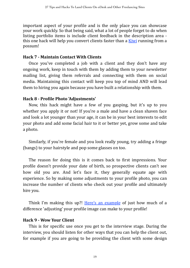important aspect of your profile and is the only place you can showcase your work quickly. So that being said, what a lot of people forget to do when listing portfolio items is include client feedback in the description area this one hack will help you convert clients faster than a Kiwi running from a possum!

#### **Hack&7&3&Maintain&Contact&With&Clients**

Once you've completed a job with a client and they don't have any ongoing work, keep in touch with them by adding them to your newsletter mailing list, giving them referrals and connecting with them on social media. Maintaining this contact will keep you top of mind AND will lead them to hiring you again because you have built a relationship with them.

#### **Hack&8&3&Pro7ile&Photo&'Adjustments'**

Now, this hack might have a few of you gasping, but it's up to you whether you apply it or not! If you're a male and have a clean shaven face and look a lot younger than your age, it can be in your best interests to edit your photo and add some facial hair to it or better yet, grow some and take a photo.

Similarly, if you're female and you look really young, try adding a fringe (bangs) to your hairstyle and pop some glasses on too.

The reason for doing this is it comes back to first impressions. Your profile doesn't provide your date of birth, so prospective clients can't see how old you are. And let's face it, they generally equate age with experience. So by making some adjustments to your profile photo, you can increase the number of clients who check out your profile and ultimately hire you.

Think I'm making this up?! Here's an example of just how much of a difference 'adjusting' your profile image can make to your profile!

#### **Hack 9 - Wow Your Client**

This is for specific use once you get to the interview stage. During the interview, you should listen for other ways that you can help the client out, for example if you are going to be providing the client with some design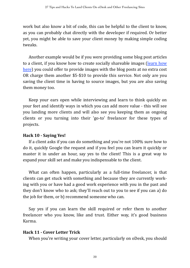work but also know a bit of code, this can be helpful to the client to know, as you can probably chat directly with the developer if required. Or better yet, you might be able to save your client money by making simple coding tweaks.

Another example would be if you were providing some blog post articles to a client, if you know how to create socially shareable images (learn how [here\)](http://www.outsourcedfreelancingsuccess.com/content/how-to-create-awesome-picture-quotes) you could offer to provide images with the blog posts at no extra cost OR charge them another  $$5-\$10$  to provide this service. Not only are you saving the client time in having to source images, but you are also saving them money too.

Keep your ears open while interviewing and learn to think quickly on your feet and identify ways in which you can add more value - this will see you landing more clients and will also see you keeping them as ongoing clients or you turning into their 'go-to' freelancer for these types of projects.

## **Hack 10 - Saying Yes!**

If a client asks if you can do something and you're not  $100\%$  sure how to do it, quickly Google the request and if you feel you can learn it quickly or master it in under an hour, say yes to the client! This is a great way to expand your skill set and make you indispensable to the client.

What can often happen, particularly as a full-time freelancer, is that clients can get stuck with something and because they are currently working with you or have had a good work experience with you in the past and they don't know who to ask; they'll reach out to you to see if you can a) do the job for them, or b) recommend someone who can.

Say yes if you can learn the skill required or refer them to another freelancer who you know, like and trust. Either way, it's good business Karma.

#### **Hack 11 - Cover Letter Trick**

When you're writing your cover letter, particularly on oDesk, you should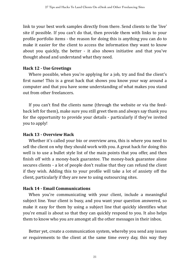link to your best work samples directly from there. Send clients to the 'live' site if possible. If you can't do that, then provide them with links to your profile portfolio items - the reason for doing this is anything you can do to make it easier for the client to access the information they want to know about you quickly, the better - it also shows initiative and that you've thought ahead and understand what they need.

#### **Hack 12 - Use Greetings**

Where possible, when you're applying for a job, try and find the client's first name! This is a great hack that shows you know your way around a computer and that you have some understanding of what makes you stand out from other freelancers.

If you can't find the clients name (through the website or via the feedback left for them), make sure you still greet them and always say thank you for the opportunity to provide your details - particularly if they've invited you to apply!

## **Hack 13 - Overview Hack**

Whether it's called your bio or overview area, this is where you need to sell the client on why they should work with you. A great hack for doing this well is to use a bullet style list of the main points that you offer, and then finish off with a money-back guarantee. The money-back guarantee alone secures clients - a lot of people don't realise that they can refund the client if they wish. Adding this to your profile will take a lot of anxiety off the client, particularly if they are new to using outsourcing sites.

## **Hack 14 - Email Communications**

When you're communicating with your client, include a meaningful subject line. Your client is busy, and you want your question answered, so make it easy for them by using a subject line that quickly identifies what you're email is about so that they can quickly respond to you. It also helps them to know who you are amongst all the other messages in their inbox.

Better yet, create a communication system, whereby you send any issues or requirements to the client at the same time every day, this way they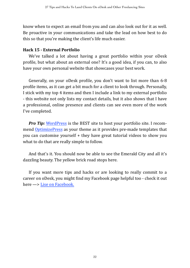know when to expect an email from you and can also look out for it as well. Be proactive in your communications and take the lead on how best to do this so that you're making the client's life much easier.

#### **Hack 15 - External Portfolio**

We've talked a lot about having a great portfolio within your oDesk profile, but what about an external one? It's a good idea, if you can, to also have your own personal website that showcases your best work.

Generally, on your oDesk profile, you don't want to list more than 6-8 profile items, as it can get a bit much for a client to look through. Personally, I stick with my top 4 items and then I include a link to my external portfolio - this website not only lists my contact details, but it also shows that I have a professional, online presence and clients can see even more of the work I've completed.

*Pro Tip:* WordPress is the BEST site to host your portfolio site. I recom-mend [OptimizePress](http://www.optimizepress.com) as your theme as it provides pre-made templates that you can customise yourself  $+$  they have great tutorial videos to show you what to do that are really simple to follow.

And that's it. You should now be able to see the Emerald City and all it's dazzling beauty. The yellow brick road stops here.

If you want more tips and hacks or are looking to really commit to a career on oDesk, you might find my Facebook page helpful too - check it out here  $\longrightarrow$  Lise on Facebook.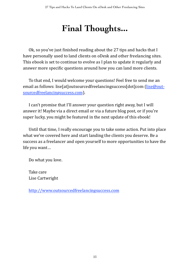# **Final Thoughts...**

Ok, so you've just finished reading about the 27 tips and hacks that I have personally used to land clients on oDesk and other freelancing sites. This ebook is set to continue to evolve as I plan to update it regularly and answer more specific questions around how you can land more clients.

To that end, I would welcome your questions! Feel free to send me an email as follows: lise[at]outsourcedfreelancingsuccess[dot]com (lise@out[sourcedfreelancingsuccess.com](mailto:lise@outsourcedfreelancingsuccess.com)).

I can't promise that I'll answer your question right away, but I will answer it! Maybe via a direct email or via a future blog post, or if you're super lucky, you might be featured in the next update of this ebook!

Until that time, I really encourage you to take some action. Put into place what we've covered here and start landing the clients you deserve. Be a success as a freelancer and open yourself to more opportunities to have the life you want...

Do what you love.

Take care Lise Cartwright

<http://www.outsourcedfreelancingsuccess.com>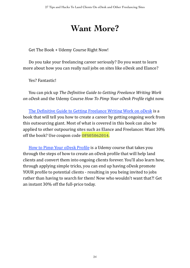## **Want More?**

Get The Book + Udemy Course Right Now!

Do you take your freelancing career seriously? Do you want to learn more about how you can really nail jobs on sites like oDesk and Elance?

Yes? Fantastic!

You%can%pick%up%*The'De7initive'Guide'to'Getting'Freelance'Writing'Work' on oDesk* and the Udemy Course *How To Pimp Your oDesk Profile* right now.

The Definitive Guide to Getting Freelance Writing Work on oDesk is a book that will tell you how to create a career by getting ongoing work from this outsourcing giant. Most of what is covered in this book can also be applied to other outpouring sites such as Elance and Freelancer. Want 30% off the book? Use coupon code **OFS05062014.** 

How to Pimp Your oDesk Profile is a Udemy course that takes you through the steps of how to create an oDesk profile that will help land clients and convert them into ongoing clients forever. You'll also learn how, through applying simple tricks, you can end up having oDesk promote YOUR profile to potential clients - resulting in you being invited to jobs rather than having to search for them! Now who wouldn't want that?! Get an instant  $30\%$  off the full-price today.